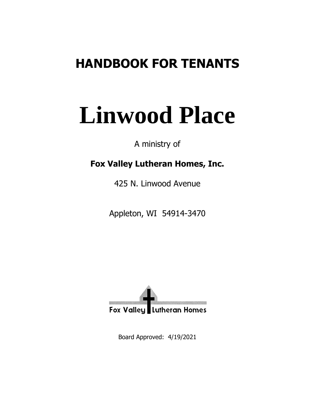# **HANDBOOK FOR TENANTS**

# **Linwood Place**

A ministry of

# **Fox Valley Lutheran Homes, Inc.**

425 N. Linwood Avenue

Appleton, WI 54914-3470



Board Approved: 4/19/2021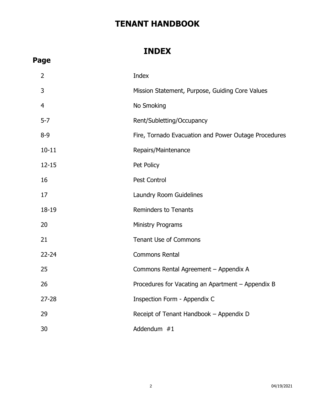# **INDEX**

| э<br>٢d<br>σ<br>u |
|-------------------|
|-------------------|

| 2         | Index                                                |
|-----------|------------------------------------------------------|
| 3         | Mission Statement, Purpose, Guiding Core Values      |
| 4         | No Smoking                                           |
| $5 - 7$   | Rent/Subletting/Occupancy                            |
| $8 - 9$   | Fire, Tornado Evacuation and Power Outage Procedures |
| $10 - 11$ | Repairs/Maintenance                                  |
| $12 - 15$ | Pet Policy                                           |
| 16        | Pest Control                                         |
| 17        | Laundry Room Guidelines                              |
| 18-19     | <b>Reminders to Tenants</b>                          |
| 20        | <b>Ministry Programs</b>                             |
| 21        | <b>Tenant Use of Commons</b>                         |
| 22-24     | <b>Commons Rental</b>                                |
| 25        | Commons Rental Agreement - Appendix A                |
| 26        | Procedures for Vacating an Apartment - Appendix B    |
| 27-28     | Inspection Form - Appendix C                         |
| 29        | Receipt of Tenant Handbook - Appendix D              |
| 30        | Addendum #1                                          |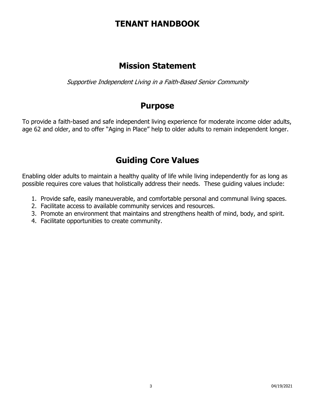# **Mission Statement**

Supportive Independent Living in a Faith-Based Senior Community

## **Purpose**

To provide a faith-based and safe independent living experience for moderate income older adults, age 62 and older, and to offer "Aging in Place" help to older adults to remain independent longer.

# **Guiding Core Values**

Enabling older adults to maintain a healthy quality of life while living independently for as long as possible requires core values that holistically address their needs. These guiding values include:

- 1. Provide safe, easily maneuverable, and comfortable personal and communal living spaces.
- 2. Facilitate access to available community services and resources.
- 3. Promote an environment that maintains and strengthens health of mind, body, and spirit.
- 4. Facilitate opportunities to create community.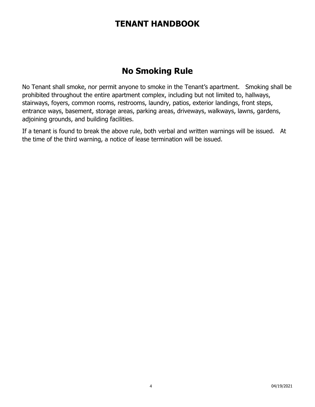# **No Smoking Rule**

No Tenant shall smoke, nor permit anyone to smoke in the Tenant's apartment. Smoking shall be prohibited throughout the entire apartment complex, including but not limited to, hallways, stairways, foyers, common rooms, restrooms, laundry, patios, exterior landings, front steps, entrance ways, basement, storage areas, parking areas, driveways, walkways, lawns, gardens, adjoining grounds, and building facilities.

If a tenant is found to break the above rule, both verbal and written warnings will be issued. At the time of the third warning, a notice of lease termination will be issued.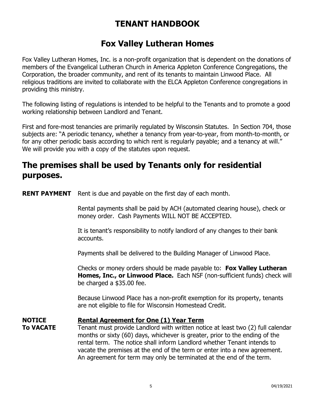# **Fox Valley Lutheran Homes**

Fox Valley Lutheran Homes, Inc. is a non-profit organization that is dependent on the donations of members of the Evangelical Lutheran Church in America Appleton Conference Congregations, the Corporation, the broader community, and rent of its tenants to maintain Linwood Place. All religious traditions are invited to collaborate with the ELCA Appleton Conference congregations in providing this ministry.

The following listing of regulations is intended to be helpful to the Tenants and to promote a good working relationship between Landlord and Tenant.

First and fore-most tenancies are primarily regulated by Wisconsin Statutes. In Section 704, those subjects are: "A periodic tenancy, whether a tenancy from year-to-year, from month-to-month, or for any other periodic basis according to which rent is regularly payable; and a tenancy at will." We will provide you with a copy of the statutes upon request.

# **The premises shall be used by Tenants only for residential purposes.**

**RENT PAYMENT** Rent is due and payable on the first day of each month.

Rental payments shall be paid by ACH (automated clearing house), check or money order. Cash Payments WILL NOT BE ACCEPTED.

It is tenant's responsibility to notify landlord of any changes to their bank accounts.

Payments shall be delivered to the Building Manager of Linwood Place.

Checks or money orders should be made payable to: **Fox Valley Lutheran Homes, Inc., or Linwood Place.** Each NSF (non-sufficient funds) check will be charged a \$35.00 fee.

Because Linwood Place has a non-profit exemption for its property, tenants are not eligible to file for Wisconsin Homestead Credit.

### **NOTICE Rental Agreement for One (1) Year Term**

**To VACATE** Tenant must provide Landlord with written notice at least two (2) full calendar months or sixty (60) days, whichever is greater, prior to the ending of the rental term. The notice shall inform Landlord whether Tenant intends to vacate the premises at the end of the term or enter into a new agreement. An agreement for term may only be terminated at the end of the term.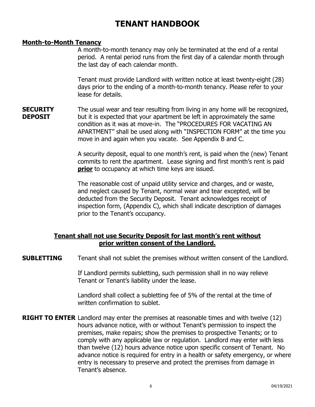### **Month-to-Month Tenancy**

A month-to-month tenancy may only be terminated at the end of a rental period. A rental period runs from the first day of a calendar month through the last day of each calendar month.

Tenant must provide Landlord with written notice at least twenty-eight (28) days prior to the ending of a month-to-month tenancy. Please refer to your lease for details.

**SECURITY** The usual wear and tear resulting from living in any home will be recognized, **DEPOSIT** but it is expected that your apartment be left in approximately the same condition as it was at move-in. The "PROCEDURES FOR VACATING AN APARTMENT" shall be used along with "INSPECTION FORM" at the time you move in and again when you vacate. See Appendix B and C.

> A security deposit, equal to one month's rent, is paid when the (new) Tenant commits to rent the apartment. Lease signing and first month's rent is paid **prior** to occupancy at which time keys are issued.

The reasonable cost of unpaid utility service and charges, and or waste, and neglect caused by Tenant, normal wear and tear excepted, will be deducted from the Security Deposit. Tenant acknowledges receipt of inspection form, (Appendix C), which shall indicate description of damages prior to the Tenant's occupancy.

### **Tenant shall not use Security Deposit for last month's rent without prior written consent of the Landlord.**

**SUBLETTING** Tenant shall not sublet the premises without written consent of the Landlord.

If Landlord permits subletting, such permission shall in no way relieve Tenant or Tenant's liability under the lease.

Landlord shall collect a subletting fee of 5% of the rental at the time of written confirmation to sublet.

**RIGHT TO ENTER** Landlord may enter the premises at reasonable times and with twelve (12) hours advance notice, with or without Tenant's permission to inspect the premises, make repairs; show the premises to prospective Tenants; or to comply with any applicable law or regulation. Landlord may enter with less than twelve (12) hours advance notice upon specific consent of Tenant. No advance notice is required for entry in a health or safety emergency, or where entry is necessary to preserve and protect the premises from damage in Tenant's absence.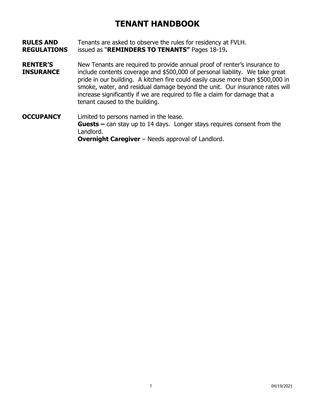- **RULES AND** Tenants are asked to observe the rules for residency at FVLH. **REGULATIONS** issued as "**REMINDERS TO TENANTS"** Pages 18-19**.**
- **RENTER'S** New Tenants are required to provide annual proof of renter's insurance to **INSURANCE** include contents coverage and \$500,000 of personal liability. We take great pride in our building. A kitchen fire could easily cause more than \$500,000 in smoke, water, and residual damage beyond the unit. Our insurance rates will increase significantly if we are required to file a claim for damage that a tenant caused to the building.
- **OCCUPANCY** Limited to persons named in the lease. **Guests –** can stay up to 14 days. Longer stays requires consent from the Landlord. **Overnight Caregiver** – Needs approval of Landlord.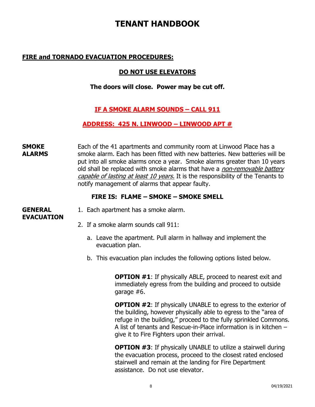### **FIRE and TORNADO EVACUATION PROCEDURES:**

### **DO NOT USE ELEVATORS**

### **The doors will close. Power may be cut off.**

### **IF A SMOKE ALARM SOUNDS – CALL 911**

### **ADDRESS: 425 N. LINWOOD – LINWOOD APT #**

**SMOKE** Each of the 41 apartments and community room at Linwood Place has a **ALARMS** smoke alarm. Each has been fitted with new batteries. New batteries will be put into all smoke alarms once a year. Smoke alarms greater than 10 years old shall be replaced with smoke alarms that have a *non-removable battery* capable of lasting at least 10 years. It is the responsibility of the Tenants to notify management of alarms that appear faulty.

### **FIRE IS: FLAME – SMOKE – SMOKE SMELL**

# **EVACUATION**

- **GENERAL** 1. Each apartment has a smoke alarm.
	- 2. If a smoke alarm sounds call 911:
		- a. Leave the apartment. Pull alarm in hallway and implement the evacuation plan.
		- b. This evacuation plan includes the following options listed below.

**OPTION #1:** If physically ABLE, proceed to nearest exit and immediately egress from the building and proceed to outside garage #6.

**OPTION #2**: If physically UNABLE to egress to the exterior of the building, however physically able to egress to the "area of refuge in the building," proceed to the fully sprinkled Commons. A list of tenants and Rescue-in-Place information is in kitchen – give it to Fire Fighters upon their arrival.

**OPTION #3**: If physically UNABLE to utilize a stairwell during the evacuation process, proceed to the closest rated enclosed stairwell and remain at the landing for Fire Department assistance. Do not use elevator.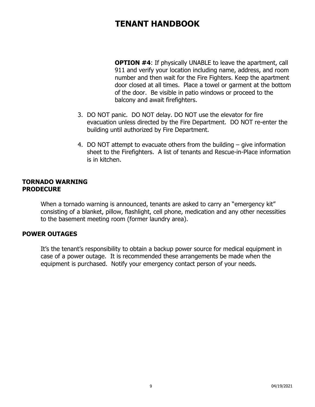**OPTION #4:** If physically UNABLE to leave the apartment, call 911 and verify your location including name, address, and room number and then wait for the Fire Fighters. Keep the apartment door closed at all times. Place a towel or garment at the bottom of the door. Be visible in patio windows or proceed to the balcony and await firefighters.

- 3. DO NOT panic. DO NOT delay. DO NOT use the elevator for fire evacuation unless directed by the Fire Department. DO NOT re-enter the building until authorized by Fire Department.
- 4. DO NOT attempt to evacuate others from the building give information sheet to the Firefighters. A list of tenants and Rescue-in-Place information is in kitchen.

#### **TORNADO WARNING PRODECURE**

When a tornado warning is announced, tenants are asked to carry an "emergency kit" consisting of a blanket, pillow, flashlight, cell phone, medication and any other necessities to the basement meeting room (former laundry area).

### **POWER OUTAGES**

It's the tenant's responsibility to obtain a backup power source for medical equipment in case of a power outage. It is recommended these arrangements be made when the equipment is purchased. Notify your emergency contact person of your needs.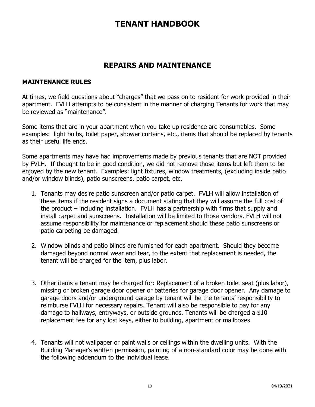### **REPAIRS AND MAINTENANCE**

### **MAINTENANCE RULES**

At times, we field questions about "charges" that we pass on to resident for work provided in their apartment. FVLH attempts to be consistent in the manner of charging Tenants for work that may be reviewed as "maintenance".

Some items that are in your apartment when you take up residence are consumables. Some examples: light bulbs, toilet paper, shower curtains, etc., items that should be replaced by tenants as their useful life ends.

Some apartments may have had improvements made by previous tenants that are NOT provided by FVLH. If thought to be in good condition, we did not remove those items but left them to be enjoyed by the new tenant. Examples: light fixtures, window treatments, (excluding inside patio and/or window blinds), patio sunscreens, patio carpet, etc.

- 1. Tenants may desire patio sunscreen and/or patio carpet. FVLH will allow installation of these items if the resident signs a document stating that they will assume the full cost of the product – including installation. FVLH has a partnership with firms that supply and install carpet and sunscreens. Installation will be limited to those vendors. FVLH will not assume responsibility for maintenance or replacement should these patio sunscreens or patio carpeting be damaged.
- 2. Window blinds and patio blinds are furnished for each apartment. Should they become damaged beyond normal wear and tear, to the extent that replacement is needed, the tenant will be charged for the item, plus labor.
- 3. Other items a tenant may be charged for: Replacement of a broken toilet seat (plus labor), missing or broken garage door opener or batteries for garage door opener. Any damage to garage doors and/or underground garage by tenant will be the tenants' responsibility to reimburse FVLH for necessary repairs. Tenant will also be responsible to pay for any damage to hallways, entryways, or outside grounds. Tenants will be charged a \$10 replacement fee for any lost keys, either to building, apartment or mailboxes
- 4. Tenants will not wallpaper or paint walls or ceilings within the dwelling units. With the Building Manager's written permission, painting of a non-standard color may be done with the following addendum to the individual lease.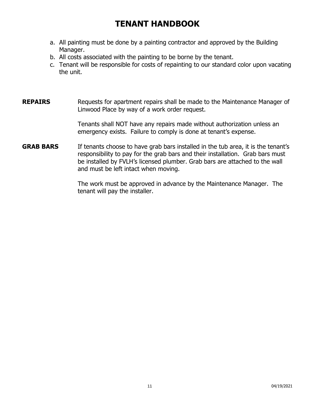- a. All painting must be done by a painting contractor and approved by the Building Manager.
- b. All costs associated with the painting to be borne by the tenant.
- c. Tenant will be responsible for costs of repainting to our standard color upon vacating the unit.
- **REPAIRS** Requests for apartment repairs shall be made to the Maintenance Manager of Linwood Place by way of a work order request.

Tenants shall NOT have any repairs made without authorization unless an emergency exists. Failure to comply is done at tenant's expense.

**GRAB BARS** If tenants choose to have grab bars installed in the tub area, it is the tenant's responsibility to pay for the grab bars and their installation. Grab bars must be installed by FVLH's licensed plumber. Grab bars are attached to the wall and must be left intact when moving.

> The work must be approved in advance by the Maintenance Manager. The tenant will pay the installer.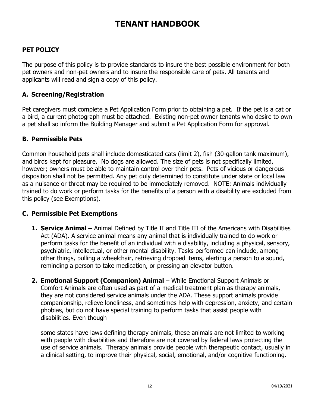### **PET POLICY**

The purpose of this policy is to provide standards to insure the best possible environment for both pet owners and non-pet owners and to insure the responsible care of pets. All tenants and applicants will read and sign a copy of this policy.

### **A. Screening/Registration**

Pet caregivers must complete a Pet Application Form prior to obtaining a pet. If the pet is a cat or a bird, a current photograph must be attached. Existing non-pet owner tenants who desire to own a pet shall so inform the Building Manager and submit a Pet Application Form for approval.

### **B. Permissible Pets**

Common household pets shall include domesticated cats (limit 2), fish (30-gallon tank maximum), and birds kept for pleasure. No dogs are allowed. The size of pets is not specifically limited, however; owners must be able to maintain control over their pets. Pets of vicious or dangerous disposition shall not be permitted. Any pet duly determined to constitute under state or local law as a nuisance or threat may be required to be immediately removed. NOTE: Animals individually trained to do work or perform tasks for the benefits of a person with a disability are excluded from this policy (see Exemptions).

### **C. Permissible Pet Exemptions**

- **1. Service Animal –** Animal Defined by Title II and Title III of the Americans with Disabilities Act (ADA). A service animal means any animal that is individually trained to do work or perform tasks for the benefit of an individual with a disability, including a physical, sensory, psychiatric, intellectual, or other mental disability. Tasks performed can include, among other things, pulling a wheelchair, retrieving dropped items, alerting a person to a sound, reminding a person to take medication, or pressing an elevator button.
- **2. Emotional Support (Companion) Animal** While Emotional Support Animals or Comfort Animals are often used as part of a medical treatment plan as therapy animals, they are not considered service animals under the ADA. These support animals provide companionship, relieve loneliness, and sometimes help with depression, anxiety, and certain phobias, but do not have special training to perform tasks that assist people with disabilities. Even though

some states have laws defining therapy animals, these animals are not limited to working with people with disabilities and therefore are not covered by federal laws protecting the use of service animals. Therapy animals provide people with therapeutic contact, usually in a clinical setting, to improve their physical, social, emotional, and/or cognitive functioning.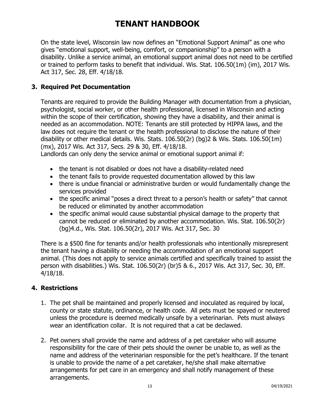On the state level, Wisconsin law now defines an "Emotional Support Animal" as one who gives "emotional support, well-being, comfort, or companionship" to a person with a disability. Unlike a service animal, an emotional support animal does not need to be certified or trained to perform tasks to benefit that individual. Wis. Stat. 106.50(1m) (im), 2017 Wis. Act 317, Sec. 28, Eff. 4/18/18.

### **3. Required Pet Documentation**

Tenants are required to provide the Building Manager with documentation from a physician, psychologist, social worker, or other health professional, licensed in Wisconsin and acting within the scope of their certification, showing they have a disability, and their animal is needed as an accommodation. NOTE: Tenants are still protected by HIPPA laws, and the law does not require the tenant or the health professional to disclose the nature of their disability or other medical details. Wis. Stats. 106.50(2r) (bg)2 & Wis. Stats. 106.50(1m) (mx), 2017 Wis. Act 317, Secs. 29 & 30, Eff. 4/18/18.

Landlords can only deny the service animal or emotional support animal if:

- the tenant is not disabled or does not have a disability-related need
- the tenant fails to provide requested documentation allowed by this law
- there is undue financial or administrative burden or would fundamentally change the services provided
- the specific animal "poses a direct threat to a person's health or safety" that cannot be reduced or eliminated by another accommodation
- the specific animal would cause substantial physical damage to the property that cannot be reduced or eliminated by another accommodation. Wis. Stat. 106.50(2r) (bg)4.d., Wis. Stat. 106.50(2r), 2017 Wis. Act 317, Sec. 30

There is a \$500 fine for tenants and/or health professionals who intentionally misrepresent the tenant having a disability or needing the accommodation of an emotional support animal. (This does not apply to service animals certified and specifically trained to assist the person with disabilities.) Wis. Stat. 106.50(2r) (br)5 & 6., 2017 Wis. Act 317, Sec. 30, Eff. 4/18/18.

### **4. Restrictions**

- 1. The pet shall be maintained and properly licensed and inoculated as required by local, county or state statute, ordinance, or health code. All pets must be spayed or neutered unless the procedure is deemed medically unsafe by a veterinarian. Pets must always wear an identification collar. It is not required that a cat be declawed.
- 2. Pet owners shall provide the name and address of a pet caretaker who will assume responsibility for the care of their pets should the owner be unable to, as well as the name and address of the veterinarian responsible for the pet's healthcare. If the tenant is unable to provide the name of a pet caretaker, he/she shall make alternative arrangements for pet care in an emergency and shall notify management of these arrangements.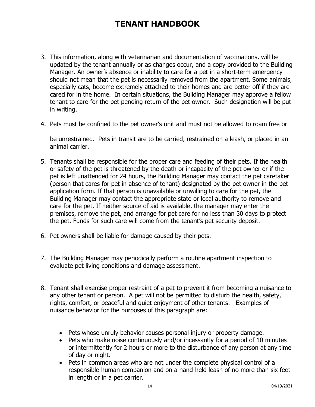- 3. This information, along with veterinarian and documentation of vaccinations, will be updated by the tenant annually or as changes occur, and a copy provided to the Building Manager. An owner's absence or inability to care for a pet in a short-term emergency should not mean that the pet is necessarily removed from the apartment. Some animals, especially cats, become extremely attached to their homes and are better off if they are cared for in the home. In certain situations, the Building Manager may approve a fellow tenant to care for the pet pending return of the pet owner. Such designation will be put in writing.
- 4. Pets must be confined to the pet owner's unit and must not be allowed to roam free or

be unrestrained. Pets in transit are to be carried, restrained on a leash, or placed in an animal carrier.

- 5. Tenants shall be responsible for the proper care and feeding of their pets. If the health or safety of the pet is threatened by the death or incapacity of the pet owner or if the pet is left unattended for 24 hours, the Building Manager may contact the pet caretaker (person that cares for pet in absence of tenant) designated by the pet owner in the pet application form. If that person is unavailable or unwilling to care for the pet, the Building Manager may contact the appropriate state or local authority to remove and care for the pet. If neither source of aid is available, the manager may enter the premises, remove the pet, and arrange for pet care for no less than 30 days to protect the pet. Funds for such care will come from the tenant's pet security deposit.
- 6. Pet owners shall be liable for damage caused by their pets.
- 7. The Building Manager may periodically perform a routine apartment inspection to evaluate pet living conditions and damage assessment.
- 8. Tenant shall exercise proper restraint of a pet to prevent it from becoming a nuisance to any other tenant or person. A pet will not be permitted to disturb the health, safety, rights, comfort, or peaceful and quiet enjoyment of other tenants. Examples of nuisance behavior for the purposes of this paragraph are:
	- Pets whose unruly behavior causes personal injury or property damage.
	- Pets who make noise continuously and/or incessantly for a period of 10 minutes or intermittently for 2 hours or more to the disturbance of any person at any time of day or night.
	- Pets in common areas who are not under the complete physical control of a responsible human companion and on a hand-held leash of no more than six feet in length or in a pet carrier.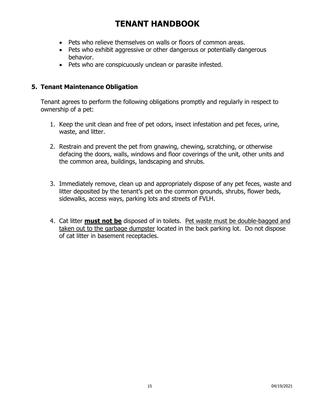- Pets who relieve themselves on walls or floors of common areas.
- Pets who exhibit aggressive or other dangerous or potentially dangerous behavior.
- Pets who are conspicuously unclean or parasite infested.

### **5. Tenant Maintenance Obligation**

Tenant agrees to perform the following obligations promptly and regularly in respect to ownership of a pet:

- 1. Keep the unit clean and free of pet odors, insect infestation and pet feces, urine, waste, and litter.
- 2. Restrain and prevent the pet from gnawing, chewing, scratching, or otherwise defacing the doors, walls, windows and floor coverings of the unit, other units and the common area, buildings, landscaping and shrubs.
- 3. Immediately remove, clean up and appropriately dispose of any pet feces, waste and litter deposited by the tenant's pet on the common grounds, shrubs, flower beds, sidewalks, access ways, parking lots and streets of FVLH.
- 4. Cat litter **must not be** disposed of in toilets. Pet waste must be double-bagged and taken out to the garbage dumpster located in the back parking lot. Do not dispose of cat litter in basement receptacles.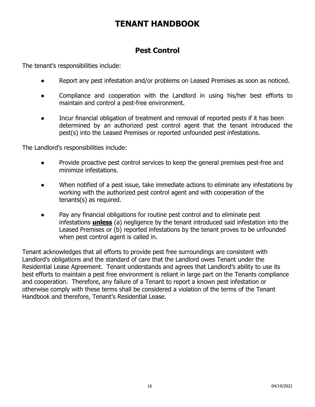### **Pest Control**

The tenant's responsibilities include:

- Report any pest infestation and/or problems on Leased Premises as soon as noticed.
- Compliance and cooperation with the Landlord in using his/her best efforts to maintain and control a pest-free environment.
- Incur financial obligation of treatment and removal of reported pests if it has been determined by an authorized pest control agent that the tenant introduced the pest(s) into the Leased Premises or reported unfounded pest infestations.

The Landlord's responsibilities include:

- Provide proactive pest control services to keep the general premises pest-free and minimize infestations.
- When notified of a pest issue, take immediate actions to eliminate any infestations by working with the authorized pest control agent and with cooperation of the tenants(s) as required.
- Pay any financial obligations for routine pest control and to eliminate pest infestations **unless** (a) negligence by the tenant introduced said infestation into the Leased Premises or (b) reported infestations by the tenant proves to be unfounded when pest control agent is called in.

Tenant acknowledges that all efforts to provide pest free surroundings are consistent with Landlord's obligations and the standard of care that the Landlord owes Tenant under the Residential Lease Agreement. Tenant understands and agrees that Landlord's ability to use its best efforts to maintain a pest free environment is reliant in large part on the Tenants compliance and cooperation. Therefore, any failure of a Tenant to report a known pest infestation or otherwise comply with these terms shall be considered a violation of the terms of the Tenant Handbook and therefore, Tenant's Residential Lease.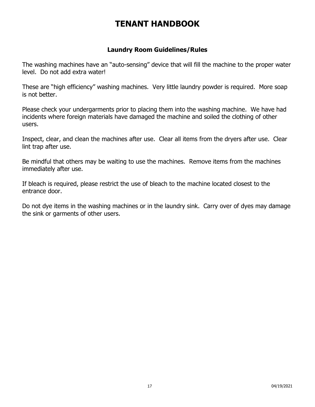### **Laundry Room Guidelines/Rules**

The washing machines have an "auto-sensing" device that will fill the machine to the proper water level. Do not add extra water!

These are "high efficiency" washing machines. Very little laundry powder is required. More soap is not better.

Please check your undergarments prior to placing them into the washing machine. We have had incidents where foreign materials have damaged the machine and soiled the clothing of other users.

Inspect, clear, and clean the machines after use. Clear all items from the dryers after use. Clear lint trap after use.

Be mindful that others may be waiting to use the machines. Remove items from the machines immediately after use.

If bleach is required, please restrict the use of bleach to the machine located closest to the entrance door.

Do not dye items in the washing machines or in the laundry sink. Carry over of dyes may damage the sink or garments of other users.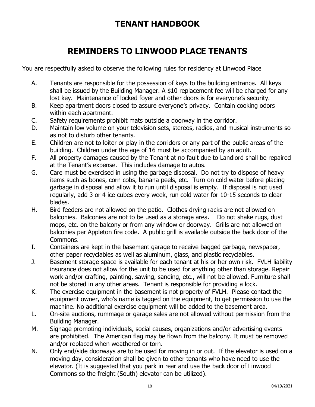# **REMINDERS TO LINWOOD PLACE TENANTS**

You are respectfully asked to observe the following rules for residency at Linwood Place

- A. Tenants are responsible for the possession of keys to the building entrance. All keys shall be issued by the Building Manager. A \$10 replacement fee will be charged for any lost key. Maintenance of locked foyer and other doors is for everyone's security.
- B. Keep apartment doors closed to assure everyone's privacy. Contain cooking odors within each apartment.
- C. Safety requirements prohibit mats outside a doorway in the corridor.
- D. Maintain low volume on your television sets, stereos, radios, and musical instruments so as not to disturb other tenants.
- E. Children are not to loiter or play in the corridors or any part of the public areas of the building. Children under the age of 16 must be accompanied by an adult.
- F. All property damages caused by the Tenant at no fault due to Landlord shall be repaired at the Tenant's expense. This includes damage to autos.
- G. Care must be exercised in using the garbage disposal. Do not try to dispose of heavy items such as bones, corn cobs, banana peels, etc. Turn on cold water before placing garbage in disposal and allow it to run until disposal is empty. If disposal is not used regularly, add 3 or 4 ice cubes every week, run cold water for 10-15 seconds to clear blades.
- H. Bird feeders are not allowed on the patio. Clothes drying racks are not allowed on balconies. Balconies are not to be used as a storage area. Do not shake rugs, dust mops, etc. on the balcony or from any window or doorway. Grills are not allowed on balconies per Appleton fire code. A public grill is available outside the back door of the Commons.
- I. Containers are kept in the basement garage to receive bagged garbage, newspaper, other paper recyclables as well as aluminum, glass, and plastic recyclables.
- J. Basement storage space is available for each tenant at his or her own risk. FVLH liability insurance does not allow for the unit to be used for anything other than storage. Repair work and/or crafting, painting, sawing, sanding, etc., will not be allowed. Furniture shall not be stored in any other areas. Tenant is responsible for providing a lock.
- K. The exercise equipment in the basement is not property of FVLH. Please contact the equipment owner, who's name is tagged on the equipment, to get permission to use the machine. No additional exercise equipment will be added to the basement area.
- L. On-site auctions, rummage or garage sales are not allowed without permission from the Building Manager.
- M. Signage promoting individuals, social causes, organizations and/or advertising events are prohibited. The American flag may be flown from the balcony. It must be removed and/or replaced when weathered or torn.
- N. Only end/side doorways are to be used for moving in or out. If the elevator is used on a moving day, consideration shall be given to other tenants who have need to use the elevator. (It is suggested that you park in rear and use the back door of Linwood Commons so the freight (South) elevator can be utilized).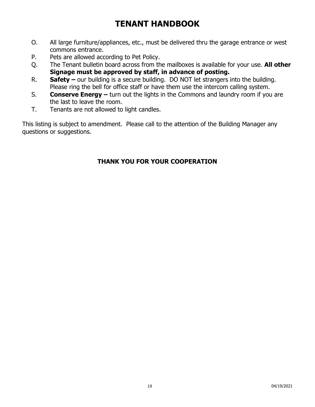- O. All large furniture/appliances, etc., must be delivered thru the garage entrance or west commons entrance.
- P. Pets are allowed according to Pet Policy.
- Q. The Tenant bulletin board across from the mailboxes is available for your use. **All other Signage must be approved by staff, in advance of posting.**
- R. **Safety –** our building is a secure building. DO NOT let strangers into the building. Please ring the bell for office staff or have them use the intercom calling system.
- S. **Conserve Energy –** turn out the lights in the Commons and laundry room if you are the last to leave the room.
- T. Tenants are not allowed to light candles.

This listing is subject to amendment. Please call to the attention of the Building Manager any questions or suggestions.

### **THANK YOU FOR YOUR COOPERATION**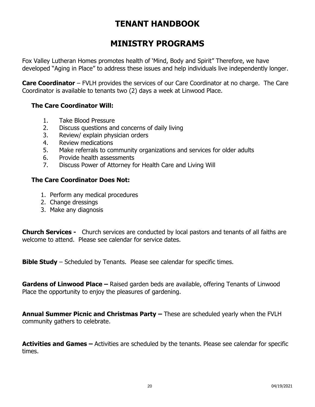# **MINISTRY PROGRAMS**

Fox Valley Lutheran Homes promotes health of 'Mind, Body and Spirit" Therefore, we have developed "Aging in Place" to address these issues and help individuals live independently longer.

**Care Coordinator** – FVLH provides the services of our Care Coordinator at no charge. The Care Coordinator is available to tenants two (2) days a week at Linwood Place.

### **The Care Coordinator Will:**

- 1. Take Blood Pressure
- 2. Discuss questions and concerns of daily living
- 3. Review/ explain physician orders
- 4. Review medications
- 5. Make referrals to community organizations and services for older adults
- 6. Provide health assessments
- 7. Discuss Power of Attorney for Health Care and Living Will

### **The Care Coordinator Does Not:**

- 1. Perform any medical procedures
- 2. Change dressings
- 3. Make any diagnosis

**Church Services -** Church services are conducted by local pastors and tenants of all faiths are welcome to attend. Please see calendar for service dates.

**Bible Study** – Scheduled by Tenants. Please see calendar for specific times.

**Gardens of Linwood Place –** Raised garden beds are available, offering Tenants of Linwood Place the opportunity to enjoy the pleasures of gardening.

**Annual Summer Picnic and Christmas Party –** These are scheduled yearly when the FVLH community gathers to celebrate.

**Activities and Games –** Activities are scheduled by the tenants. Please see calendar for specific times.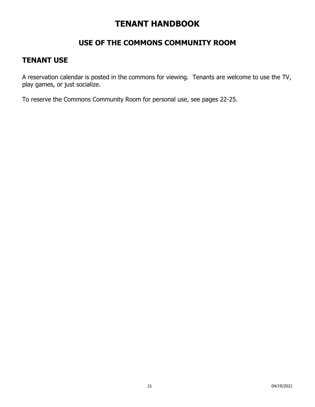### **USE OF THE COMMONS COMMUNITY ROOM**

### **TENANT USE**

A reservation calendar is posted in the commons for viewing. Tenants are welcome to use the TV, play games, or just socialize.

To reserve the Commons Community Room for personal use, see pages 22-25.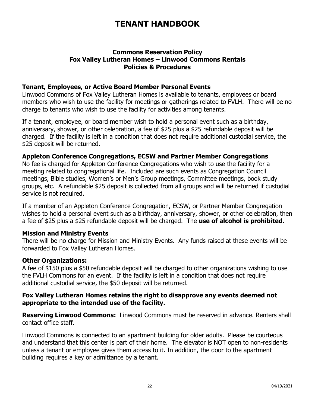### **Commons Reservation Policy Fox Valley Lutheran Homes – Linwood Commons Rentals Policies & Procedures**

### **Tenant, Employees, or Active Board Member Personal Events**

Linwood Commons of Fox Valley Lutheran Homes is available to tenants, employees or board members who wish to use the facility for meetings or gatherings related to FVLH. There will be no charge to tenants who wish to use the facility for activities among tenants.

If a tenant, employee, or board member wish to hold a personal event such as a birthday, anniversary, shower, or other celebration, a fee of \$25 plus a \$25 refundable deposit will be charged. If the facility is left in a condition that does not require additional custodial service, the \$25 deposit will be returned.

### **Appleton Conference Congregations, ECSW and Partner Member Congregations**

No fee is charged for Appleton Conference Congregations who wish to use the facility for a meeting related to congregational life. Included are such events as Congregation Council meetings, Bible studies, Women's or Men's Group meetings, Committee meetings, book study groups, etc. A refundable \$25 deposit is collected from all groups and will be returned if custodial service is not required.

If a member of an Appleton Conference Congregation, ECSW, or Partner Member Congregation wishes to hold a personal event such as a birthday, anniversary, shower, or other celebration, then a fee of \$25 plus a \$25 refundable deposit will be charged. The **use of alcohol is prohibited**.

### **Mission and Ministry Events**

There will be no charge for Mission and Ministry Events. Any funds raised at these events will be forwarded to Fox Valley Lutheran Homes.

### **Other Organizations:**

A fee of \$150 plus a \$50 refundable deposit will be charged to other organizations wishing to use the FVLH Commons for an event. If the facility is left in a condition that does not require additional custodial service, the \$50 deposit will be returned.

### **Fox Valley Lutheran Homes retains the right to disapprove any events deemed not appropriate to the intended use of the facility.**

**Reserving Linwood Commons:** Linwood Commons must be reserved in advance. Renters shall contact office staff.

Linwood Commons is connected to an apartment building for older adults. Please be courteous and understand that this center is part of their home. The elevator is NOT open to non-residents unless a tenant or employee gives them access to it. In addition, the door to the apartment building requires a key or admittance by a tenant.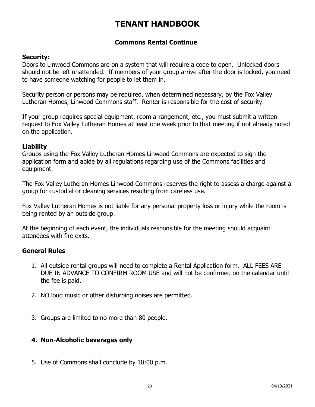### **Commons Rental Continue**

### **Security:**

Doors to Linwood Commons are on a system that will require a code to open. Unlocked doors should not be left unattended. If members of your group arrive after the door is locked, you need to have someone watching for people to let them in.

Security person or persons may be required, when determined necessary, by the Fox Valley Lutheran Homes, Linwood Commons staff. Renter is responsible for the cost of security.

If your group requires special equipment, room arrangement, etc., you must submit a written request to Fox Valley Lutheran Homes at least one week prior to that meeting if not already noted on the application.

### **Liability**

Groups using the Fox Valley Lutheran Homes Linwood Commons are expected to sign the application form and abide by all regulations regarding use of the Commons facilities and equipment.

The Fox Valley Lutheran Homes Linwood Commons reserves the right to assess a charge against a group for custodial or cleaning services resulting from careless use.

Fox Valley Lutheran Homes is not liable for any personal property loss or injury while the room is being rented by an outside group.

At the beginning of each event, the individuals responsible for the meeting should acquaint attendees with fire exits.

### **General Rules**

- 1. All outside rental groups will need to complete a Rental Application form. ALL FEES ARE DUE IN ADVANCE TO CONFIRM ROOM USE and will not be confirmed on the calendar until the fee is paid.
- 2. NO loud music or other disturbing noises are permitted.
- 3. Groups are limited to no more than 80 people.

### **4. Non-Alcoholic beverages only**

5. Use of Commons shall conclude by 10:00 p.m.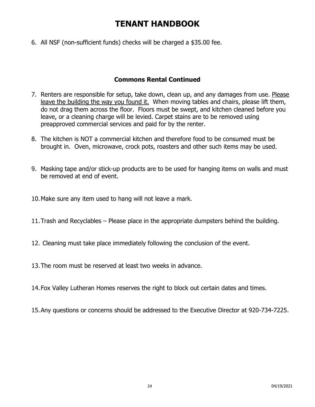6. All NSF (non-sufficient funds) checks will be charged a \$35.00 fee.

### **Commons Rental Continued**

- 7. Renters are responsible for setup, take down, clean up, and any damages from use. Please leave the building the way you found it. When moving tables and chairs, please lift them, do not drag them across the floor. Floors must be swept, and kitchen cleaned before you leave, or a cleaning charge will be levied. Carpet stains are to be removed using preapproved commercial services and paid for by the renter.
- 8. The kitchen is NOT a commercial kitchen and therefore food to be consumed must be brought in. Oven, microwave, crock pots, roasters and other such items may be used.
- 9. Masking tape and/or stick-up products are to be used for hanging items on walls and must be removed at end of event.
- 10.Make sure any item used to hang will not leave a mark.
- 11.Trash and Recyclables Please place in the appropriate dumpsters behind the building.
- 12. Cleaning must take place immediately following the conclusion of the event.
- 13.The room must be reserved at least two weeks in advance.
- 14.Fox Valley Lutheran Homes reserves the right to block out certain dates and times.
- 15.Any questions or concerns should be addressed to the Executive Director at 920-734-7225.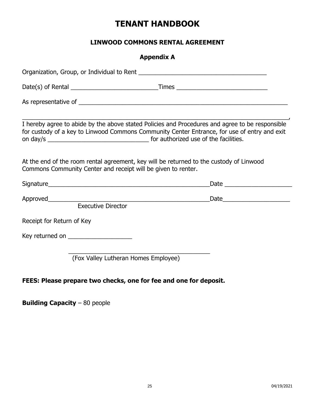### **LINWOOD COMMONS RENTAL AGREEMENT**

|                                        | <b>Appendix A</b>                                                                                                                                                                                                                                                                                                                                                                                                                                               |
|----------------------------------------|-----------------------------------------------------------------------------------------------------------------------------------------------------------------------------------------------------------------------------------------------------------------------------------------------------------------------------------------------------------------------------------------------------------------------------------------------------------------|
|                                        |                                                                                                                                                                                                                                                                                                                                                                                                                                                                 |
|                                        |                                                                                                                                                                                                                                                                                                                                                                                                                                                                 |
|                                        |                                                                                                                                                                                                                                                                                                                                                                                                                                                                 |
|                                        | I hereby agree to abide by the above stated Policies and Procedures and agree to be responsible<br>for custody of a key to Linwood Commons Community Center Entrance, for use of entry and exit                                                                                                                                                                                                                                                                 |
|                                        | At the end of the room rental agreement, key will be returned to the custody of Linwood<br>Commons Community Center and receipt will be given to renter.                                                                                                                                                                                                                                                                                                        |
|                                        | Signature and the state of the state of the state of the state of the state of the state of the state of the state of the state of the state of the state of the state of the state of the state of the state of the state of<br>Date and the contract of the contract of the contract of the contract of the contract of the contract of the contract of the contract of the contract of the contract of the contract of the contract of the contract of the c |
| <b>Executive Director</b>              |                                                                                                                                                                                                                                                                                                                                                                                                                                                                 |
| Receipt for Return of Key              |                                                                                                                                                                                                                                                                                                                                                                                                                                                                 |
| Key returned on ______________________ |                                                                                                                                                                                                                                                                                                                                                                                                                                                                 |
|                                        | (Fox Valley Lutheran Homes Employee)                                                                                                                                                                                                                                                                                                                                                                                                                            |

### **FEES: Please prepare two checks, one for fee and one for deposit.**

**Building Capacity** – 80 people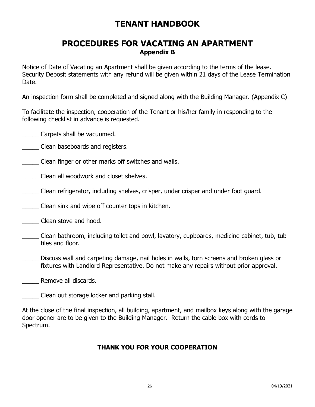### **PROCEDURES FOR VACATING AN APARTMENT Appendix B**

Notice of Date of Vacating an Apartment shall be given according to the terms of the lease. Security Deposit statements with any refund will be given within 21 days of the Lease Termination Date.

An inspection form shall be completed and signed along with the Building Manager. (Appendix C)

To facilitate the inspection, cooperation of the Tenant or his/her family in responding to the following checklist in advance is requested.

\_\_\_\_\_ Carpets shall be vacuumed.

- **Example 20 Clean baseboards and registers.**
- \_\_\_\_\_ Clean finger or other marks off switches and walls.
- \_\_\_\_\_ Clean all woodwork and closet shelves.
- \_\_\_\_\_ Clean refrigerator, including shelves, crisper, under crisper and under foot guard.
- \_\_\_\_\_ Clean sink and wipe off counter tops in kitchen.
- \_\_\_\_\_ Clean stove and hood.
- \_\_\_\_\_ Clean bathroom, including toilet and bowl, lavatory, cupboards, medicine cabinet, tub, tub tiles and floor.
- Discuss wall and carpeting damage, nail holes in walls, torn screens and broken glass or fixtures with Landlord Representative. Do not make any repairs without prior approval.
- Remove all discards.
- Clean out storage locker and parking stall.

At the close of the final inspection, all building, apartment, and mailbox keys along with the garage door opener are to be given to the Building Manager. Return the cable box with cords to Spectrum.

### **THANK YOU FOR YOUR COOPERATION**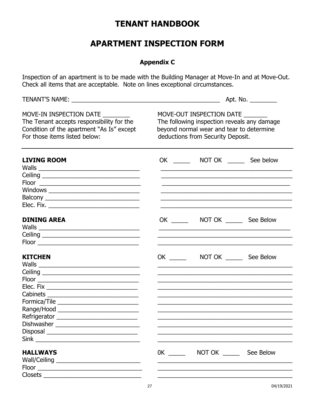# **APARTMENT INSPECTION FORM**

### **Appendix C**

Inspection of an apartment is to be made with the Building Manager at Move-In and at Move-Out. Check all items that are acceptable. Note on lines exceptional circumstances.

|                                                                                                                                                    | Apt. No. _________                                                                                                                                       |                                                                                                                                                                |                  |  |
|----------------------------------------------------------------------------------------------------------------------------------------------------|----------------------------------------------------------------------------------------------------------------------------------------------------------|----------------------------------------------------------------------------------------------------------------------------------------------------------------|------------------|--|
| MOVE-IN INSPECTION DATE<br>The Tenant accepts responsibility for the<br>Condition of the apartment "As Is" except<br>For those items listed below: | MOVE-OUT INSPECTION DATE<br>The following inspection reveals any damage<br>beyond normal wear and tear to determine<br>deductions from Security Deposit. |                                                                                                                                                                |                  |  |
| <b>LIVING ROOM</b>                                                                                                                                 |                                                                                                                                                          |                                                                                                                                                                | See below        |  |
|                                                                                                                                                    |                                                                                                                                                          |                                                                                                                                                                |                  |  |
| <b>DINING AREA</b>                                                                                                                                 |                                                                                                                                                          |                                                                                                                                                                |                  |  |
| <b>KITCHEN</b>                                                                                                                                     |                                                                                                                                                          | OK _________ NOT OK ________ See Below<br><u> 1989 - Johann John Harry Harry Harry Harry Harry Harry Harry Harry Harry Harry Harry Harry Harry Harry Harry</u> |                  |  |
| Formica/Tile ________________________________<br>Refrigerator _______________________________<br>Dishwasher                                        |                                                                                                                                                          |                                                                                                                                                                |                  |  |
| <b>HALLWAYS</b>                                                                                                                                    | $OK$ and $OK$                                                                                                                                            |                                                                                                                                                                | NOT OK See Below |  |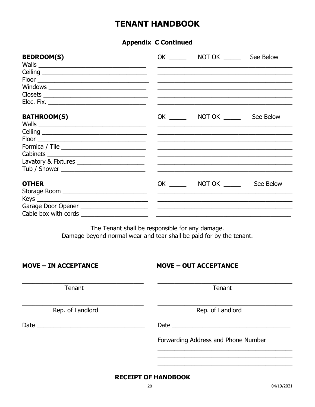### **Appendix C Continued**

| <b>BEDROOM(S)</b>                             |                                             | OK NOT OK See Below |           |
|-----------------------------------------------|---------------------------------------------|---------------------|-----------|
|                                               |                                             |                     |           |
|                                               |                                             |                     |           |
|                                               |                                             |                     |           |
|                                               |                                             |                     |           |
|                                               |                                             |                     |           |
|                                               |                                             |                     |           |
| <b>BATHROOM(S)</b>                            |                                             | OK NOT OK NOT ON    | See Below |
|                                               |                                             |                     |           |
|                                               |                                             |                     |           |
|                                               |                                             |                     |           |
| Formica / Tile                                | <u> 1980 - Johann Harrison, markin basa</u> |                     |           |
|                                               |                                             |                     |           |
| Lavatory & Fixtures _________________________ |                                             |                     |           |
|                                               |                                             |                     |           |
| <b>OTHER</b>                                  |                                             | OK NOT OK           | See Below |
| Storage Room ________________________________ | <u> 1980 - Johann Johann Harry Barns (</u>  |                     |           |
|                                               |                                             |                     |           |
|                                               |                                             |                     |           |
|                                               |                                             |                     |           |

The Tenant shall be responsible for any damage. Damage beyond normal wear and tear shall be paid for by the tenant.

| <b>MOVE - IN ACCEPTANCE</b> | <b>MOVE - OUT ACCEPTANCE</b>        |  |  |
|-----------------------------|-------------------------------------|--|--|
| Tenant                      | Tenant                              |  |  |
| Rep. of Landlord            | Rep. of Landlord                    |  |  |
|                             | Date                                |  |  |
|                             | Forwarding Address and Phone Number |  |  |
|                             |                                     |  |  |

### **RECEIPT OF HANDBOOK**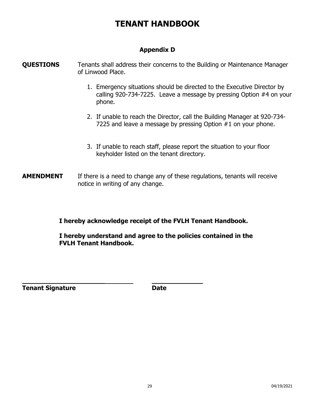### **Appendix D**

### **QUESTIONS** Tenants shall address their concerns to the Building or Maintenance Manager of Linwood Place.

- 1. Emergency situations should be directed to the Executive Director by calling 920-734-7225. Leave a message by pressing Option #4 on your phone.
- 2. If unable to reach the Director, call the Building Manager at 920-734- 7225 and leave a message by pressing Option #1 on your phone.
- 3. If unable to reach staff, please report the situation to your floor keyholder listed on the tenant directory.
- **AMENDMENT** If there is a need to change any of these regulations, tenants will receive notice in writing of any change.

### **I hereby acknowledge receipt of the FVLH Tenant Handbook.**

**I hereby understand and agree to the policies contained in the FVLH Tenant Handbook.**

| <b>Tenant Signature</b> | <b>Date</b> |
|-------------------------|-------------|
|-------------------------|-------------|

**\_\_\_\_\_\_\_\_\_\_\_\_\_\_\_\_\_\_\_\_\_ \_\_\_\_\_\_\_\_\_\_\_\_\_**